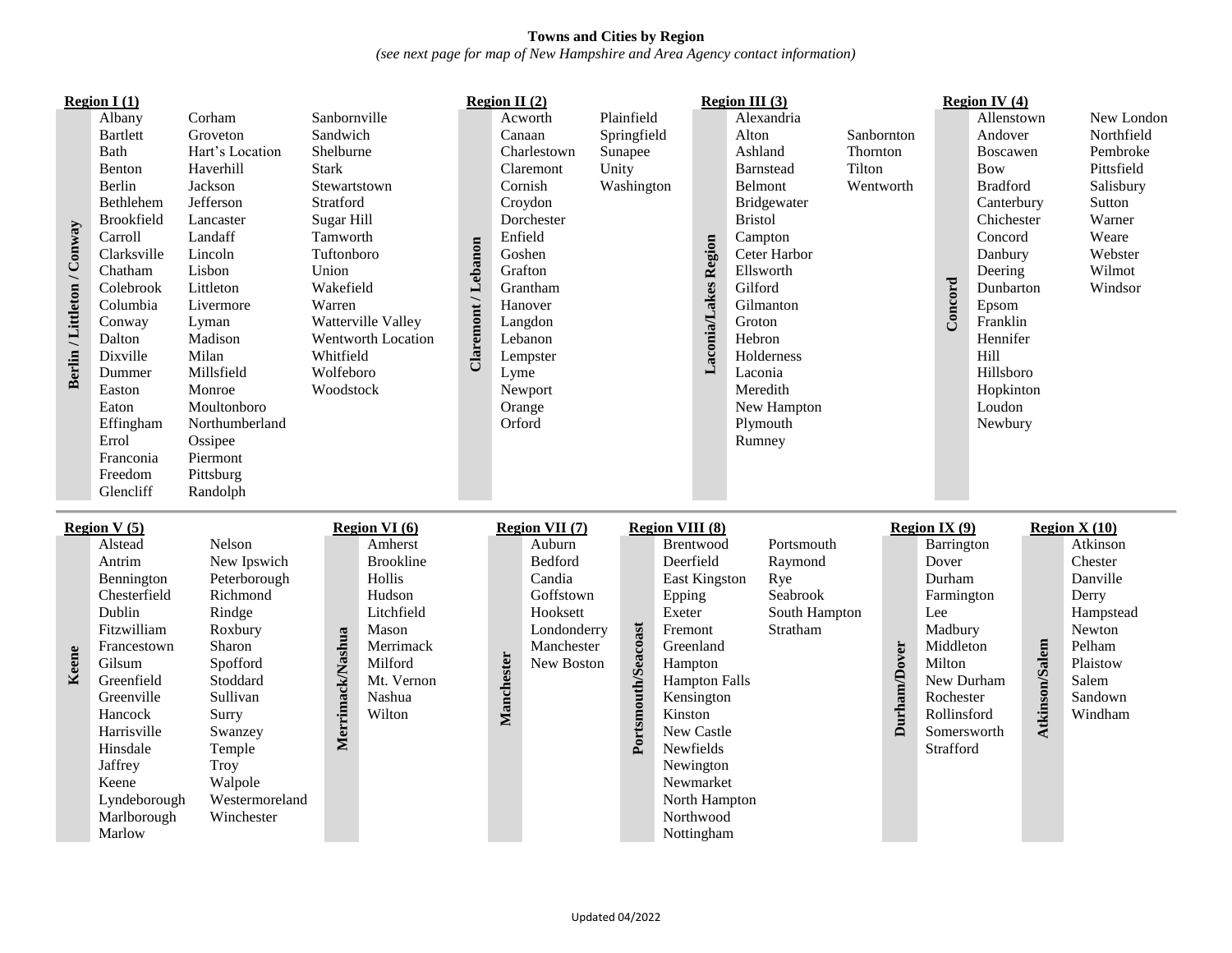## **Towns and Cities by Region** *(see next page for map of New Hampshire and Area Agency contact information)*

| Berlin / Littleton / Conway | <b>Region I</b> $(1)$<br>Albany<br><b>Bartlett</b><br><b>Bath</b><br>Benton<br>Berlin<br>Bethlehem<br>Brookfield<br>Carroll<br>Clarksville<br>Chatham<br>Colebrook<br>Columbia<br>Conway<br>Dalton<br>Dixville<br>Dummer<br>Easton<br>Eaton<br>Effingham<br>Errol<br>Franconia<br>Freedom<br>Glencliff | Corham<br>Groveton<br>Hart's Location<br>Haverhill<br>Jackson<br>Jefferson<br>Lancaster<br>Landaff<br>Lincoln<br>Lisbon<br>Littleton<br>Livermore<br>Lyman<br>Madison<br>Milan<br>Millsfield<br>Monroe<br>Moultonboro<br>Northumberland<br>Ossipee<br>Piermont<br>Pittsburg<br>Randolph | Sanbornville<br>Sandwich<br>Shelburne<br><b>Stark</b><br>Stewartstown<br>Stratford<br>Sugar Hill<br>Tamworth<br>Tuftonboro<br>Union<br>Wakefield<br>Warren<br>Whitfield<br>Wolfeboro<br>Woodstock | Watterville Valley<br>Wentworth Location                                                                                                          | Claremont / Lebanon | Region II $(2)$<br>Lyme<br>Orford | Acworth<br>Canaan<br>Charlestown<br>Claremont<br>Cornish<br>Croydon<br>Dorchester<br>Enfield<br>Goshen<br>Grafton<br>Grantham<br>Hanover<br>Langdon<br>Lebanon<br>Lempster<br>Newport<br>Orange | Unity | Plainfield<br>Springfield<br>Sunapee<br>Washington |                                                                                                                    | Laconia/Lakes Region                                                                                                                                 | <b>Region III</b> $(3)$<br>Alexandria<br>Alton<br>Ashland<br><b>Barnstead</b><br>Belmont<br>Bridgewater<br><b>Bristol</b><br>Campton<br>Ceter Harbor<br>Ellsworth<br>Gilford<br>Gilmanton<br>Groton<br>Hebron<br>Holderness<br>Laconia<br>Meredith<br>New Hampton<br>Plymouth<br>Rumney | Sanbornton<br>Thornton<br>Tilton<br>Wentworth |              | Concord                                                                                                                                               | <b>Region IV (4)</b><br>Allenstown<br>Andover<br><b>Boscawen</b><br><b>Bow</b><br><b>Bradford</b><br>Canterbury<br>Chichester<br>Concord<br>Danbury<br>Deering<br>Dunbarton<br>Epsom<br>Franklin<br>Hennifer<br>Hill<br>Hillsboro<br>Hopkinton<br>Loudon<br>Newbury |                | New London<br>Northfield<br>Pembroke<br>Pittsfield<br>Salisbury<br>Sutton<br>Warner<br>Weare<br>Webster<br>Wilmot<br>Windsor                 |
|-----------------------------|--------------------------------------------------------------------------------------------------------------------------------------------------------------------------------------------------------------------------------------------------------------------------------------------------------|-----------------------------------------------------------------------------------------------------------------------------------------------------------------------------------------------------------------------------------------------------------------------------------------|---------------------------------------------------------------------------------------------------------------------------------------------------------------------------------------------------|---------------------------------------------------------------------------------------------------------------------------------------------------|---------------------|-----------------------------------|-------------------------------------------------------------------------------------------------------------------------------------------------------------------------------------------------|-------|----------------------------------------------------|--------------------------------------------------------------------------------------------------------------------|------------------------------------------------------------------------------------------------------------------------------------------------------|-----------------------------------------------------------------------------------------------------------------------------------------------------------------------------------------------------------------------------------------------------------------------------------------|-----------------------------------------------|--------------|-------------------------------------------------------------------------------------------------------------------------------------------------------|---------------------------------------------------------------------------------------------------------------------------------------------------------------------------------------------------------------------------------------------------------------------|----------------|----------------------------------------------------------------------------------------------------------------------------------------------|
| Keene                       | <b>Region V</b> $(5)$<br>Alstead<br>Antrim<br>Bennington<br>Chesterfield<br>Dublin<br>Fitzwilliam<br>Francestown<br>Gilsum<br>Greenfield<br>Greenville<br>Hancock<br>Harrisville<br>Hinsdale<br>Jaffrey<br>Keene<br>Lyndeborough<br>Marlborough<br>Marlow                                              | Nelson<br>New Ipswich<br>Peterborough<br>Richmond<br>Rindge<br>Roxbury<br>Sharon<br>Spofford<br>Stoddard<br>Sullivan<br>Surry<br>Swanzey<br>Temple<br><b>Troy</b><br>Walpole<br>Westermoreland<br>Winchester                                                                            | Merrimack/Nashua                                                                                                                                                                                  | Region VI (6)<br>Amherst<br><b>Brookline</b><br>Hollis<br>Hudson<br>Litchfield<br>Mason<br>Merrimack<br>Milford<br>Mt. Vernon<br>Nashua<br>Wilton |                     | Manchester                        | Region VII (7)<br>Auburn<br>Bedford<br>Candia<br>Goffstown<br>Hooksett<br>Londonderry<br>Manchester<br>New Boston                                                                               |       | Portsmouth/Seacoast                                | <b>Region VIII (8)</b><br>Deerfield<br>Epping<br>Exeter<br>Fremont<br>Greenland<br>Hampton<br>Kinston<br>Newfields | Brentwood<br>East Kingston<br><b>Hampton Falls</b><br>Kensington<br>New Castle<br>Newington<br>Newmarket<br>North Hampton<br>Northwood<br>Nottingham | Portsmouth<br>Raymond<br>Rye<br>Seabrook<br>South Hampton<br>Stratham                                                                                                                                                                                                                   |                                               | Durham/Dover | <b>Region IX (9)</b><br>Barrington<br>Dover<br>Durham<br>Farmington<br>Lee<br>Madbury<br>Middleton<br>Milton<br>Rochester<br>Rollinsford<br>Strafford | New Durham<br>Somersworth                                                                                                                                                                                                                                           | Atkinson/Salem | <b>Region X (10)</b><br>Atkinson<br>Chester<br>Danville<br>Derry<br>Hampstead<br>Newton<br>Pelham<br>Plaistow<br>Salem<br>Sandown<br>Windham |